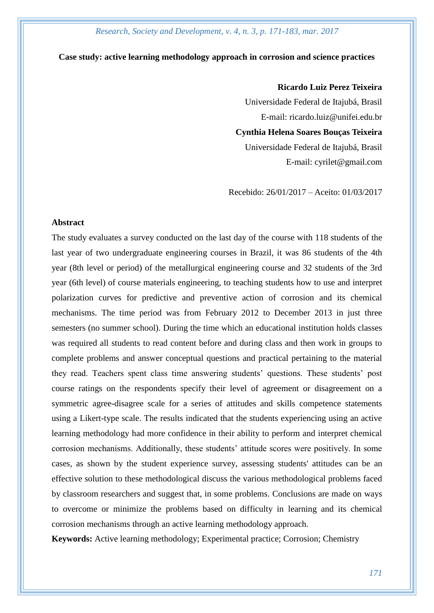#### **Case study: active learning methodology approach in corrosion and science practices**

## **Ricardo Luiz Perez Teixeira**

Universidade Federal de Itajubá, Brasil E-mail: ricardo.luiz@unifei.edu.br **Cynthia Helena Soares Bouças Teixeira** Universidade Federal de Itajubá, Brasil E-mail: cyrilet@gmail.com

Recebido: 26/01/2017 – Aceito: 01/03/2017

#### **Abstract**

The study evaluates a survey conducted on the last day of the course with 118 students of the last year of two undergraduate engineering courses in Brazil, it was 86 students of the 4th year (8th level or period) of the metallurgical engineering course and 32 students of the 3rd year (6th level) of course materials engineering, to teaching students how to use and interpret polarization curves for predictive and preventive action of corrosion and its chemical mechanisms. The time period was from February 2012 to December 2013 in just three semesters (no summer school). During the time which an educational institution holds classes was required all students to read content before and during class and then work in groups to complete problems and answer conceptual questions and practical pertaining to the material they read. Teachers spent class time answering students' questions. These students' post course ratings on the respondents specify their level of agreement or disagreement on a symmetric agree-disagree scale for a series of attitudes and skills competence statements using a Likert-type scale. The results indicated that the students experiencing using an active learning methodology had more confidence in their ability to perform and interpret chemical corrosion mechanisms. Additionally, these students' attitude scores were positively. In some cases, as shown by the student experience survey, assessing students' attitudes can be an effective solution to these methodological discuss the various methodological problems faced by classroom researchers and suggest that, in some problems. Conclusions are made on ways to overcome or minimize the problems based on difficulty in learning and its chemical corrosion mechanisms through an active learning methodology approach.

**Keywords:** Active learning methodology; Experimental practice; Corrosion; Chemistry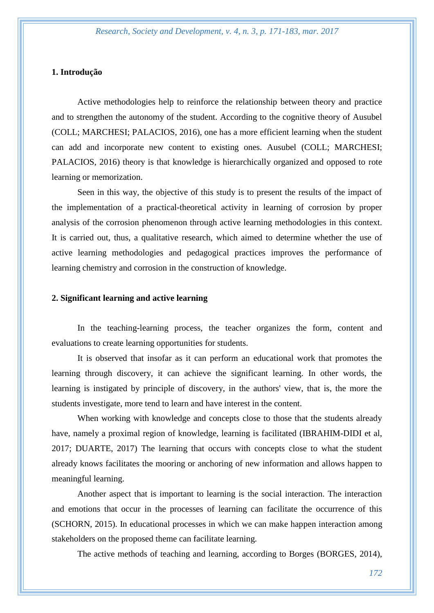# **1. Introdução**

Active methodologies help to reinforce the relationship between theory and practice and to strengthen the autonomy of the student. According to the cognitive theory of Ausubel (COLL; MARCHESI; PALACIOS, 2016), one has a more efficient learning when the student can add and incorporate new content to existing ones. Ausubel (COLL; MARCHESI; PALACIOS, 2016) theory is that knowledge is hierarchically organized and opposed to rote learning or memorization.

Seen in this way, the objective of this study is to present the results of the impact of the implementation of a practical-theoretical activity in learning of corrosion by proper analysis of the corrosion phenomenon through active learning methodologies in this context. It is carried out, thus, a qualitative research, which aimed to determine whether the use of active learning methodologies and pedagogical practices improves the performance of learning chemistry and corrosion in the construction of knowledge.

## **2. Significant learning and active learning**

In the teaching-learning process, the teacher organizes the form, content and evaluations to create learning opportunities for students.

It is observed that insofar as it can perform an educational work that promotes the learning through discovery, it can achieve the significant learning. In other words, the learning is instigated by principle of discovery, in the authors' view, that is, the more the students investigate, more tend to learn and have interest in the content.

When working with knowledge and concepts close to those that the students already have, namely a proximal region of knowledge, learning is facilitated (IBRAHIM-DIDI et al, 2017; DUARTE, 2017) The learning that occurs with concepts close to what the student already knows facilitates the mooring or anchoring of new information and allows happen to meaningful learning.

Another aspect that is important to learning is the social interaction. The interaction and emotions that occur in the processes of learning can facilitate the occurrence of this (SCHORN, 2015). In educational processes in which we can make happen interaction among stakeholders on the proposed theme can facilitate learning.

The active methods of teaching and learning, according to Borges (BORGES, 2014),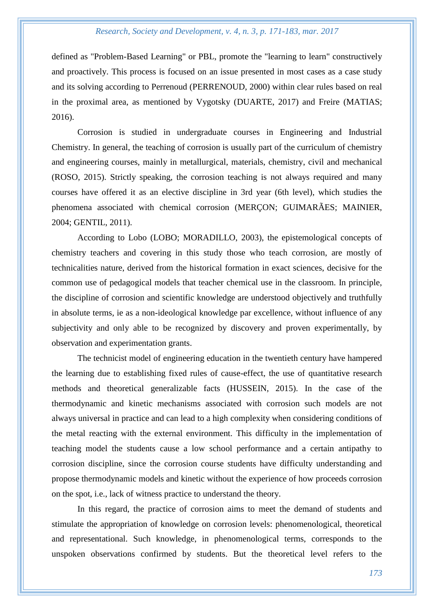defined as "Problem-Based Learning" or PBL, promote the "learning to learn" constructively and proactively. This process is focused on an issue presented in most cases as a case study and its solving according to Perrenoud (PERRENOUD, 2000) within clear rules based on real in the proximal area, as mentioned by Vygotsky (DUARTE, 2017) and Freire (MATIAS; 2016).

Corrosion is studied in undergraduate courses in Engineering and Industrial Chemistry. In general, the teaching of corrosion is usually part of the curriculum of chemistry and engineering courses, mainly in metallurgical, materials, chemistry, civil and mechanical (ROSO, 2015). Strictly speaking, the corrosion teaching is not always required and many courses have offered it as an elective discipline in 3rd year (6th level), which studies the phenomena associated with chemical corrosion (MERÇON; GUIMARÃES; MAINIER, 2004; GENTIL, 2011).

According to Lobo (LOBO; MORADILLO, 2003), the epistemological concepts of chemistry teachers and covering in this study those who teach corrosion, are mostly of technicalities nature, derived from the historical formation in exact sciences, decisive for the common use of pedagogical models that teacher chemical use in the classroom. In principle, the discipline of corrosion and scientific knowledge are understood objectively and truthfully in absolute terms, ie as a non-ideological knowledge par excellence, without influence of any subjectivity and only able to be recognized by discovery and proven experimentally, by observation and experimentation grants.

The technicist model of engineering education in the twentieth century have hampered the learning due to establishing fixed rules of cause-effect, the use of quantitative research methods and theoretical generalizable facts (HUSSEIN, 2015). In the case of the thermodynamic and kinetic mechanisms associated with corrosion such models are not always universal in practice and can lead to a high complexity when considering conditions of the metal reacting with the external environment. This difficulty in the implementation of teaching model the students cause a low school performance and a certain antipathy to corrosion discipline, since the corrosion course students have difficulty understanding and propose thermodynamic models and kinetic without the experience of how proceeds corrosion on the spot, i.e., lack of witness practice to understand the theory.

In this regard, the practice of corrosion aims to meet the demand of students and stimulate the appropriation of knowledge on corrosion levels: phenomenological, theoretical and representational. Such knowledge, in phenomenological terms, corresponds to the unspoken observations confirmed by students. But the theoretical level refers to the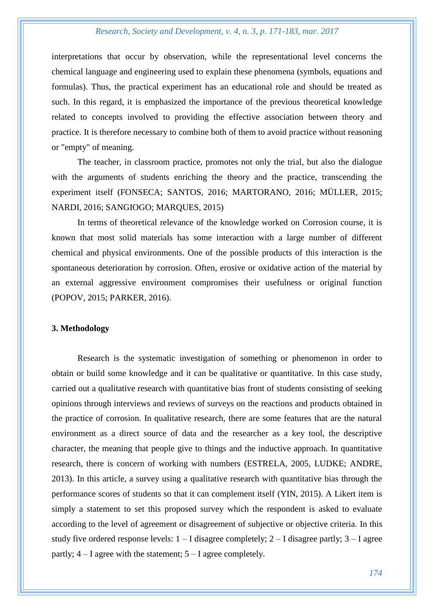interpretations that occur by observation, while the representational level concerns the chemical language and engineering used to explain these phenomena (symbols, equations and formulas). Thus, the practical experiment has an educational role and should be treated as such. In this regard, it is emphasized the importance of the previous theoretical knowledge related to concepts involved to providing the effective association between theory and practice. It is therefore necessary to combine both of them to avoid practice without reasoning or "empty" of meaning.

The teacher, in classroom practice, promotes not only the trial, but also the dialogue with the arguments of students enriching the theory and the practice, transcending the experiment itself (FONSECA; SANTOS, 2016; MARTORANO, 2016; MÜLLER, 2015; NARDI, 2016; SANGIOGO; MARQUES, 2015)

In terms of theoretical relevance of the knowledge worked on Corrosion course, it is known that most solid materials has some interaction with a large number of different chemical and physical environments. One of the possible products of this interaction is the spontaneous deterioration by corrosion. Often, erosive or oxidative action of the material by an external aggressive environment compromises their usefulness or original function (POPOV, 2015; PARKER, 2016).

#### **3. Methodology**

Research is the systematic investigation of something or phenomenon in order to obtain or build some knowledge and it can be qualitative or quantitative. In this case study, carried out a qualitative research with quantitative bias front of students consisting of seeking opinions through interviews and reviews of surveys on the reactions and products obtained in the practice of corrosion. In qualitative research, there are some features that are the natural environment as a direct source of data and the researcher as a key tool, the descriptive character, the meaning that people give to things and the inductive approach. In quantitative research, there is concern of working with numbers (ESTRELA, 2005, LUDKE; ANDRE, 2013). In this article, a survey using a qualitative research with quantitative bias through the performance scores of students so that it can complement itself (YIN, 2015). A Likert item is simply a statement to set this proposed survey which the respondent is asked to evaluate according to the level of agreement or disagreement of subjective or objective criteria. In this study five ordered response levels:  $1 - I$  disagree completely;  $2 - I$  disagree partly;  $3 - I$  agree partly;  $4 - I$  agree with the statement;  $5 - I$  agree completely.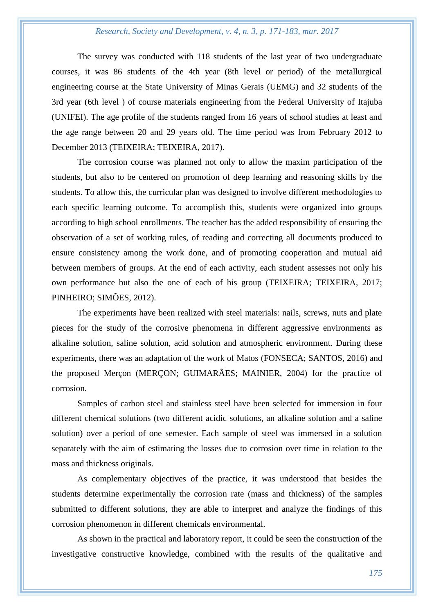The survey was conducted with 118 students of the last year of two undergraduate courses, it was 86 students of the 4th year (8th level or period) of the metallurgical engineering course at the State University of Minas Gerais (UEMG) and 32 students of the 3rd year (6th level ) of course materials engineering from the Federal University of Itajuba (UNIFEI). The age profile of the students ranged from 16 years of school studies at least and the age range between 20 and 29 years old. The time period was from February 2012 to December 2013 (TEIXEIRA; TEIXEIRA, 2017).

The corrosion course was planned not only to allow the maxim participation of the students, but also to be centered on promotion of deep learning and reasoning skills by the students. To allow this, the curricular plan was designed to involve different methodologies to each specific learning outcome. To accomplish this, students were organized into groups according to high school enrollments. The teacher has the added responsibility of ensuring the observation of a set of working rules, of reading and correcting all documents produced to ensure consistency among the work done, and of promoting cooperation and mutual aid between members of groups. At the end of each activity, each student assesses not only his own performance but also the one of each of his group (TEIXEIRA; TEIXEIRA, 2017; PINHEIRO; SIMÕES, 2012).

The experiments have been realized with steel materials: nails, screws, nuts and plate pieces for the study of the corrosive phenomena in different aggressive environments as alkaline solution, saline solution, acid solution and atmospheric environment. During these experiments, there was an adaptation of the work of Matos (FONSECA; SANTOS, 2016) and the proposed Merçon (MERÇON; GUIMARÃES; MAINIER, 2004) for the practice of corrosion.

Samples of carbon steel and stainless steel have been selected for immersion in four different chemical solutions (two different acidic solutions, an alkaline solution and a saline solution) over a period of one semester. Each sample of steel was immersed in a solution separately with the aim of estimating the losses due to corrosion over time in relation to the mass and thickness originals.

As complementary objectives of the practice, it was understood that besides the students determine experimentally the corrosion rate (mass and thickness) of the samples submitted to different solutions, they are able to interpret and analyze the findings of this corrosion phenomenon in different chemicals environmental.

As shown in the practical and laboratory report, it could be seen the construction of the investigative constructive knowledge, combined with the results of the qualitative and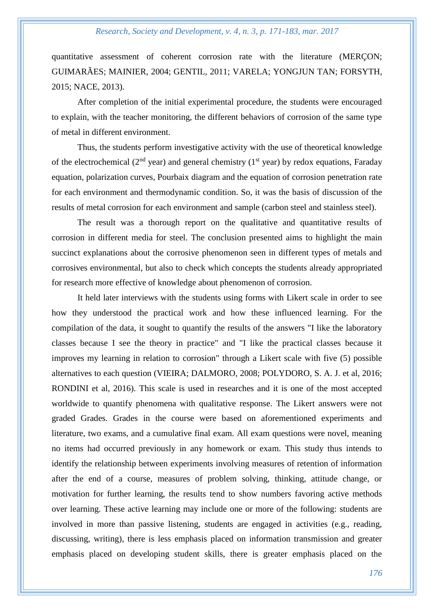quantitative assessment of coherent corrosion rate with the literature (MERÇON; GUIMARÃES; MAINIER, 2004; GENTIL, 2011; VARELA; YONGJUN TAN; FORSYTH, 2015; NACE, 2013).

After completion of the initial experimental procedure, the students were encouraged to explain, with the teacher monitoring, the different behaviors of corrosion of the same type of metal in different environment.

Thus, the students perform investigative activity with the use of theoretical knowledge of the electrochemical ( $2<sup>nd</sup>$  year) and general chemistry ( $1<sup>st</sup>$  year) by redox equations, Faraday equation, polarization curves, Pourbaix diagram and the equation of corrosion penetration rate for each environment and thermodynamic condition. So, it was the basis of discussion of the results of metal corrosion for each environment and sample (carbon steel and stainless steel).

The result was a thorough report on the qualitative and quantitative results of corrosion in different media for steel. The conclusion presented aims to highlight the main succinct explanations about the corrosive phenomenon seen in different types of metals and corrosives environmental, but also to check which concepts the students already appropriated for research more effective of knowledge about phenomenon of corrosion.

It held later interviews with the students using forms with Likert scale in order to see how they understood the practical work and how these influenced learning. For the compilation of the data, it sought to quantify the results of the answers "I like the laboratory classes because I see the theory in practice" and "I like the practical classes because it improves my learning in relation to corrosion" through a Likert scale with five (5) possible alternatives to each question (VIEIRA; DALMORO, 2008; POLYDORO, S. A. J. et al, 2016; RONDINI et al, 2016). This scale is used in researches and it is one of the most accepted worldwide to quantify phenomena with qualitative response. The Likert answers were not graded Grades. Grades in the course were based on aforementioned experiments and literature, two exams, and a cumulative final exam. All exam questions were novel, meaning no items had occurred previously in any homework or exam. This study thus intends to identify the relationship between experiments involving measures of retention of information after the end of a course, measures of problem solving, thinking, attitude change, or motivation for further learning, the results tend to show numbers favoring active methods over learning. These active learning may include one or more of the following: students are involved in more than passive listening, students are engaged in activities (e.g., reading, discussing, writing), there is less emphasis placed on information transmission and greater emphasis placed on developing student skills, there is greater emphasis placed on the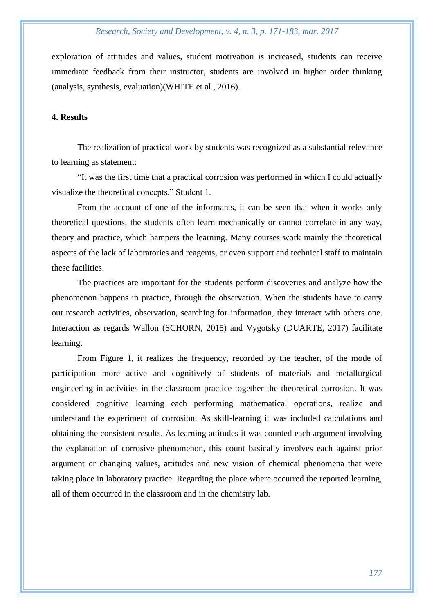exploration of attitudes and values, student motivation is increased, students can receive immediate feedback from their instructor, students are involved in higher order thinking (analysis, synthesis, evaluation)(WHITE et al., 2016).

# **4. Results**

The realization of practical work by students was recognized as a substantial relevance to learning as statement:

"It was the first time that a practical corrosion was performed in which I could actually visualize the theoretical concepts." Student 1.

From the account of one of the informants, it can be seen that when it works only theoretical questions, the students often learn mechanically or cannot correlate in any way, theory and practice, which hampers the learning. Many courses work mainly the theoretical aspects of the lack of laboratories and reagents, or even support and technical staff to maintain these facilities.

The practices are important for the students perform discoveries and analyze how the phenomenon happens in practice, through the observation. When the students have to carry out research activities, observation, searching for information, they interact with others one. Interaction as regards Wallon (SCHORN, 2015) and Vygotsky (DUARTE, 2017) facilitate learning.

From Figure 1, it realizes the frequency, recorded by the teacher, of the mode of participation more active and cognitively of students of materials and metallurgical engineering in activities in the classroom practice together the theoretical corrosion. It was considered cognitive learning each performing mathematical operations, realize and understand the experiment of corrosion. As skill-learning it was included calculations and obtaining the consistent results. As learning attitudes it was counted each argument involving the explanation of corrosive phenomenon, this count basically involves each against prior argument or changing values, attitudes and new vision of chemical phenomena that were taking place in laboratory practice. Regarding the place where occurred the reported learning, all of them occurred in the classroom and in the chemistry lab.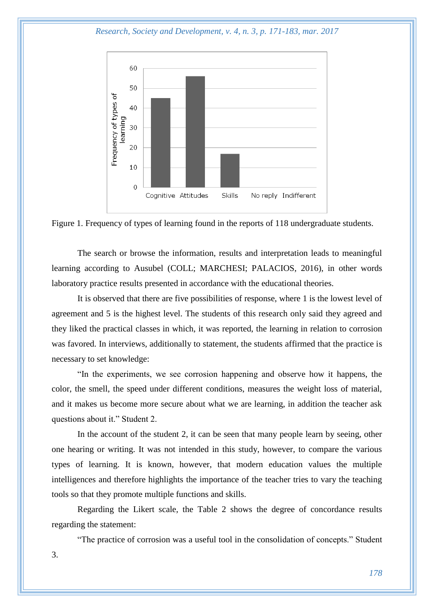*Research, Society and Development, v. 4, n. 3, p. 171-183, mar. 2017*



Figure 1. Frequency of types of learning found in the reports of 118 undergraduate students.

The search or browse the information, results and interpretation leads to meaningful learning according to Ausubel (COLL; MARCHESI; PALACIOS, 2016), in other words laboratory practice results presented in accordance with the educational theories.

It is observed that there are five possibilities of response, where 1 is the lowest level of agreement and 5 is the highest level. The students of this research only said they agreed and they liked the practical classes in which, it was reported, the learning in relation to corrosion was favored. In interviews, additionally to statement, the students affirmed that the practice is necessary to set knowledge:

"In the experiments, we see corrosion happening and observe how it happens, the color, the smell, the speed under different conditions, measures the weight loss of material, and it makes us become more secure about what we are learning, in addition the teacher ask questions about it." Student 2.

In the account of the student 2, it can be seen that many people learn by seeing, other one hearing or writing. It was not intended in this study, however, to compare the various types of learning. It is known, however, that modern education values the multiple intelligences and therefore highlights the importance of the teacher tries to vary the teaching tools so that they promote multiple functions and skills.

Regarding the Likert scale, the Table 2 shows the degree of concordance results regarding the statement:

"The practice of corrosion was a useful tool in the consolidation of concepts." Student 3.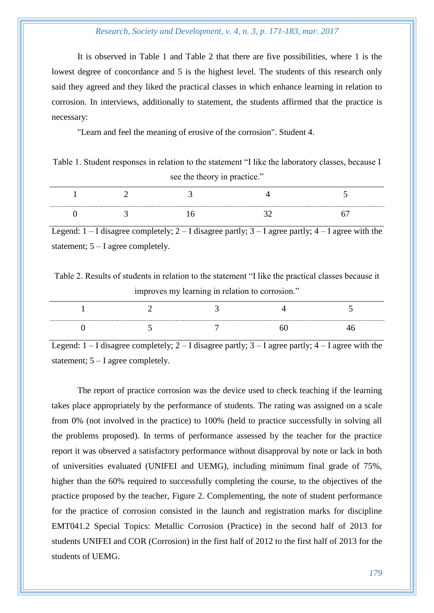It is observed in Table 1 and Table 2 that there are five possibilities, where 1 is the lowest degree of concordance and 5 is the highest level. The students of this research only said they agreed and they liked the practical classes in which enhance learning in relation to corrosion. In interviews, additionally to statement, the students affirmed that the practice is necessary:

"Learn and feel the meaning of erosive of the corrosion". Student 4.

Table 1. Student responses in relation to the statement "I like the laboratory classes, because I see the theory in practice."

Legend:  $1 - I$  disagree completely;  $2 - I$  disagree partly;  $3 - I$  agree partly;  $4 - I$  agree with the statement; 5 – I agree completely.

Table 2. Results of students in relation to the statement "I like the practical classes because it improves my learning in relation to corrosion."

Legend:  $1 - I$  disagree completely;  $2 - I$  disagree partly;  $3 - I$  agree partly;  $4 - I$  agree with the statement; 5 – I agree completely.

The report of practice corrosion was the device used to check teaching if the learning takes place appropriately by the performance of students. The rating was assigned on a scale from 0% (not involved in the practice) to 100% (held to practice successfully in solving all the problems proposed). In terms of performance assessed by the teacher for the practice report it was observed a satisfactory performance without disapproval by note or lack in both of universities evaluated (UNIFEI and UEMG), including minimum final grade of 75%, higher than the 60% required to successfully completing the course, to the objectives of the practice proposed by the teacher, Figure 2. Complementing, the note of student performance for the practice of corrosion consisted in the launch and registration marks for discipline EMT041.2 Special Topics: Metallic Corrosion (Practice) in the second half of 2013 for students UNIFEI and COR (Corrosion) in the first half of 2012 to the first half of 2013 for the students of UEMG.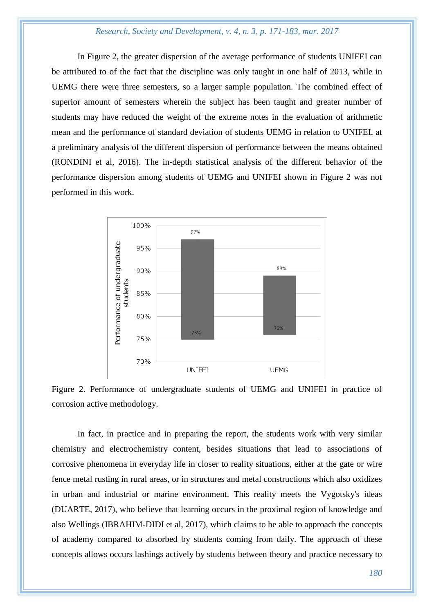In Figure 2, the greater dispersion of the average performance of students UNIFEI can be attributed to of the fact that the discipline was only taught in one half of 2013, while in UEMG there were three semesters, so a larger sample population. The combined effect of superior amount of semesters wherein the subject has been taught and greater number of students may have reduced the weight of the extreme notes in the evaluation of arithmetic mean and the performance of standard deviation of students UEMG in relation to UNIFEI, at a preliminary analysis of the different dispersion of performance between the means obtained (RONDINI et al, 2016). The in-depth statistical analysis of the different behavior of the performance dispersion among students of UEMG and UNIFEI shown in Figure 2 was not performed in this work.



Figure 2. Performance of undergraduate students of UEMG and UNIFEI in practice of corrosion active methodology.

In fact, in practice and in preparing the report, the students work with very similar chemistry and electrochemistry content, besides situations that lead to associations of corrosive phenomena in everyday life in closer to reality situations, either at the gate or wire fence metal rusting in rural areas, or in structures and metal constructions which also oxidizes in urban and industrial or marine environment. This reality meets the Vygotsky's ideas (DUARTE, 2017), who believe that learning occurs in the proximal region of knowledge and also Wellings (IBRAHIM-DIDI et al, 2017), which claims to be able to approach the concepts of academy compared to absorbed by students coming from daily. The approach of these concepts allows occurs lashings actively by students between theory and practice necessary to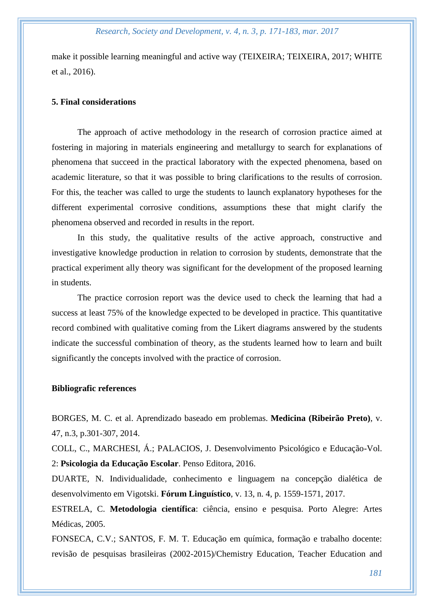make it possible learning meaningful and active way (TEIXEIRA; TEIXEIRA, 2017; WHITE et al., 2016).

## **5. Final considerations**

The approach of active methodology in the research of corrosion practice aimed at fostering in majoring in materials engineering and metallurgy to search for explanations of phenomena that succeed in the practical laboratory with the expected phenomena, based on academic literature, so that it was possible to bring clarifications to the results of corrosion. For this, the teacher was called to urge the students to launch explanatory hypotheses for the different experimental corrosive conditions, assumptions these that might clarify the phenomena observed and recorded in results in the report.

In this study, the qualitative results of the active approach, constructive and investigative knowledge production in relation to corrosion by students, demonstrate that the practical experiment ally theory was significant for the development of the proposed learning in students.

The practice corrosion report was the device used to check the learning that had a success at least 75% of the knowledge expected to be developed in practice. This quantitative record combined with qualitative coming from the Likert diagrams answered by the students indicate the successful combination of theory, as the students learned how to learn and built significantly the concepts involved with the practice of corrosion.

## **Bibliografic references**

BORGES, M. C. et al. Aprendizado baseado em problemas. **Medicina (Ribeirão Preto)**, v. 47, n.3, p.301-307, 2014.

COLL, C., MARCHESI, Á.; PALACIOS, J. Desenvolvimento Psicológico e Educação-Vol. 2: **Psicologia da Educação Escolar**. Penso Editora, 2016.

DUARTE, N. Individualidade, conhecimento e linguagem na concepção dialética de desenvolvimento em Vigotski. **Fórum Linguístico**, v. 13, n. 4, p. 1559-1571, 2017.

ESTRELA, C. **Metodologia científica**: ciência, ensino e pesquisa. Porto Alegre: Artes Médicas, 2005.

FONSECA, C.V.; SANTOS, F. M. T. Educação em química, formação e trabalho docente: revisão de pesquisas brasileiras (2002-2015)/Chemistry Education, Teacher Education and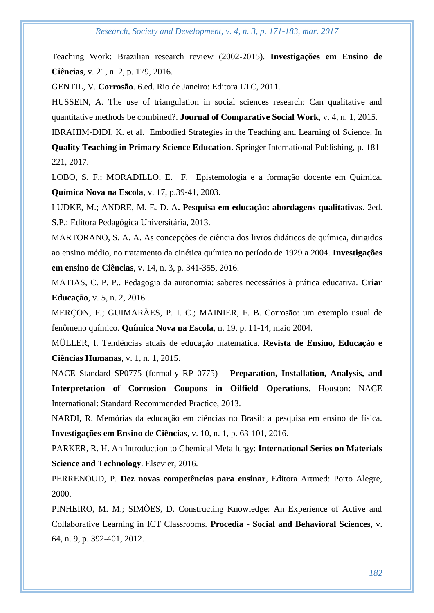Teaching Work: Brazilian research review (2002-2015). **Investigações em Ensino de Ciências**, v. 21, n. 2, p. 179, 2016.

GENTIL, V. **Corrosão**. 6.ed. Rio de Janeiro: Editora LTC, 2011.

HUSSEIN, A. The use of triangulation in social sciences research: Can qualitative and quantitative methods be combined?. **Journal of Comparative Social Work**, v. 4, n. 1, 2015.

IBRAHIM-DIDI, K. et al. Embodied Strategies in the Teaching and Learning of Science. In

**Quality Teaching in Primary Science Education**. Springer International Publishing, p. 181- 221, 2017.

LOBO, S. F.; MORADILLO, E. F. Epistemologia e a formação docente em Química. **Química Nova na Escola**, v. 17, p.39-41, 2003.

LUDKE, M.; ANDRE, M. E. D. A**. Pesquisa em educação: abordagens qualitativas**. 2ed. S.P.: Editora Pedagógica Universitária, 2013.

MARTORANO, S. A. A. As concepções de ciência dos livros didáticos de química, dirigidos ao ensino médio, no tratamento da cinética química no período de 1929 a 2004. **Investigações em ensino de Ciências**, v. 14, n. 3, p. 341-355, 2016.

MATIAS, C. P. P.. Pedagogia da autonomia: saberes necessários à prática educativa. **Criar Educação**, v. 5, n. 2, 2016..

MERÇON, F.; GUIMARÃES, P. I. C.; MAINIER, F. B. Corrosão: um exemplo usual de fenômeno químico. **Química Nova na Escola**, n. 19, p. 11-14, maio 2004.

MÜLLER, I. Tendências atuais de educação matemática. **Revista de Ensino, Educação e Ciências Humanas**, v. 1, n. 1, 2015.

NACE Standard SP0775 (formally RP 0775) – **Preparation, Installation, Analysis, and Interpretation of Corrosion Coupons in Oilfield Operations**. Houston: NACE International: Standard Recommended Practice, 2013.

NARDI, R. Memórias da educação em ciências no Brasil: a pesquisa em ensino de física. **Investigações em Ensino de Ciências**, v. 10, n. 1, p. 63-101, 2016.

PARKER, R. H. An Introduction to Chemical Metallurgy: **International Series on Materials Science and Technology**. Elsevier, 2016.

PERRENOUD, P. **Dez novas competências para ensinar**, Editora Artmed: Porto Alegre, 2000.

PINHEIRO, M. M.; SIMÕES, D. Constructing Knowledge: An Experience of Active and Collaborative Learning in ICT Classrooms. **Procedia - Social and Behavioral Sciences**, v. 64, n. 9, p. 392-401, 2012.